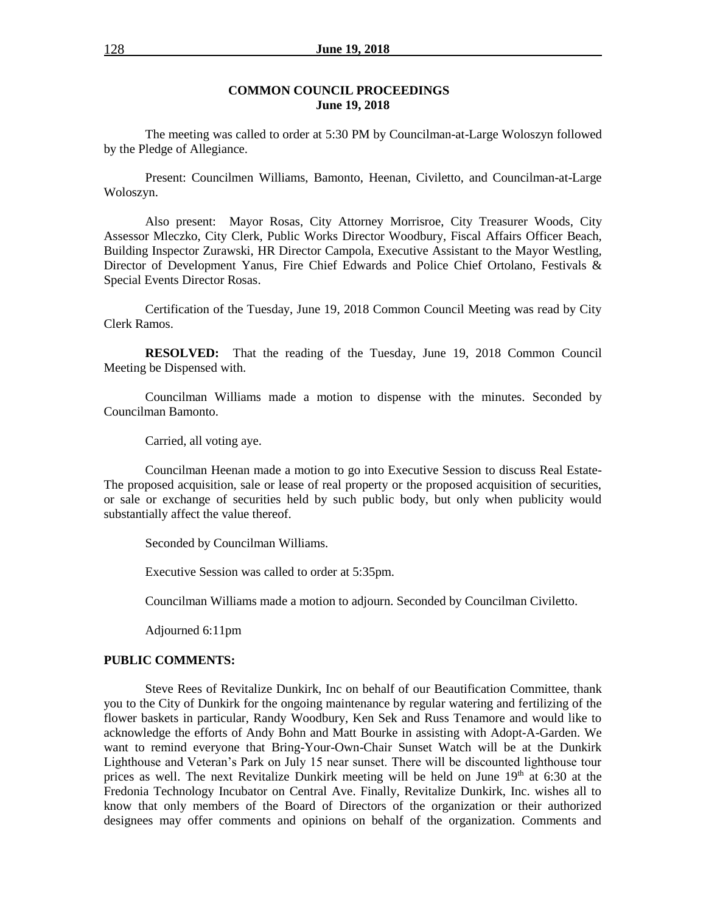#### **COMMON COUNCIL PROCEEDINGS June 19, 2018**

The meeting was called to order at 5:30 PM by Councilman-at-Large Woloszyn followed by the Pledge of Allegiance.

Present: Councilmen Williams, Bamonto, Heenan, Civiletto, and Councilman-at-Large Woloszyn.

Also present: Mayor Rosas, City Attorney Morrisroe, City Treasurer Woods, City Assessor Mleczko, City Clerk, Public Works Director Woodbury, Fiscal Affairs Officer Beach, Building Inspector Zurawski, HR Director Campola, Executive Assistant to the Mayor Westling, Director of Development Yanus, Fire Chief Edwards and Police Chief Ortolano, Festivals & Special Events Director Rosas.

Certification of the Tuesday, June 19, 2018 Common Council Meeting was read by City Clerk Ramos.

**RESOLVED:** That the reading of the Tuesday, June 19, 2018 Common Council Meeting be Dispensed with.

Councilman Williams made a motion to dispense with the minutes. Seconded by Councilman Bamonto.

Carried, all voting aye.

Councilman Heenan made a motion to go into Executive Session to discuss Real Estate-The proposed acquisition, sale or lease of real property or the proposed acquisition of securities, or sale or exchange of securities held by such public body, but only when publicity would substantially affect the value thereof.

Seconded by Councilman Williams.

Executive Session was called to order at 5:35pm.

Councilman Williams made a motion to adjourn. Seconded by Councilman Civiletto.

Adjourned 6:11pm

### **PUBLIC COMMENTS:**

Steve Rees of Revitalize Dunkirk, Inc on behalf of our Beautification Committee, thank you to the City of Dunkirk for the ongoing maintenance by regular watering and fertilizing of the flower baskets in particular, Randy Woodbury, Ken Sek and Russ Tenamore and would like to acknowledge the efforts of Andy Bohn and Matt Bourke in assisting with Adopt-A-Garden. We want to remind everyone that Bring-Your-Own-Chair Sunset Watch will be at the Dunkirk Lighthouse and Veteran's Park on July 15 near sunset. There will be discounted lighthouse tour prices as well. The next Revitalize Dunkirk meeting will be held on June  $19<sup>th</sup>$  at 6:30 at the Fredonia Technology Incubator on Central Ave. Finally, Revitalize Dunkirk, Inc. wishes all to know that only members of the Board of Directors of the organization or their authorized designees may offer comments and opinions on behalf of the organization. Comments and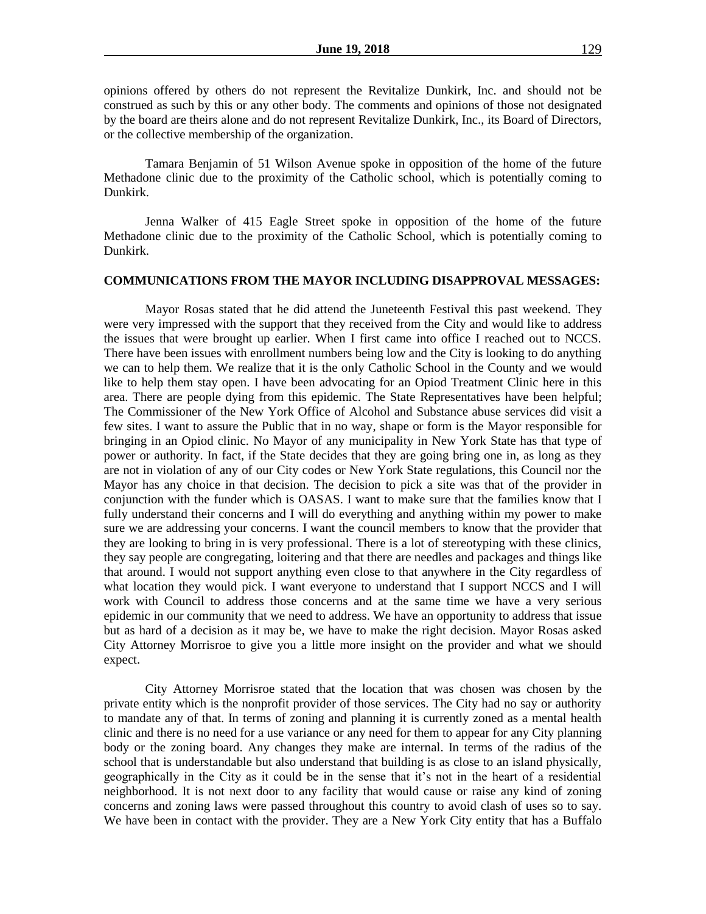opinions offered by others do not represent the Revitalize Dunkirk, Inc. and should not be construed as such by this or any other body. The comments and opinions of those not designated by the board are theirs alone and do not represent Revitalize Dunkirk, Inc., its Board of Directors, or the collective membership of the organization.

Tamara Benjamin of 51 Wilson Avenue spoke in opposition of the home of the future Methadone clinic due to the proximity of the Catholic school, which is potentially coming to Dunkirk.

Jenna Walker of 415 Eagle Street spoke in opposition of the home of the future Methadone clinic due to the proximity of the Catholic School, which is potentially coming to Dunkirk.

#### **COMMUNICATIONS FROM THE MAYOR INCLUDING DISAPPROVAL MESSAGES:**

Mayor Rosas stated that he did attend the Juneteenth Festival this past weekend. They were very impressed with the support that they received from the City and would like to address the issues that were brought up earlier. When I first came into office I reached out to NCCS. There have been issues with enrollment numbers being low and the City is looking to do anything we can to help them. We realize that it is the only Catholic School in the County and we would like to help them stay open. I have been advocating for an Opiod Treatment Clinic here in this area. There are people dying from this epidemic. The State Representatives have been helpful; The Commissioner of the New York Office of Alcohol and Substance abuse services did visit a few sites. I want to assure the Public that in no way, shape or form is the Mayor responsible for bringing in an Opiod clinic. No Mayor of any municipality in New York State has that type of power or authority. In fact, if the State decides that they are going bring one in, as long as they are not in violation of any of our City codes or New York State regulations, this Council nor the Mayor has any choice in that decision. The decision to pick a site was that of the provider in conjunction with the funder which is OASAS. I want to make sure that the families know that I fully understand their concerns and I will do everything and anything within my power to make sure we are addressing your concerns. I want the council members to know that the provider that they are looking to bring in is very professional. There is a lot of stereotyping with these clinics, they say people are congregating, loitering and that there are needles and packages and things like that around. I would not support anything even close to that anywhere in the City regardless of what location they would pick. I want everyone to understand that I support NCCS and I will work with Council to address those concerns and at the same time we have a very serious epidemic in our community that we need to address. We have an opportunity to address that issue but as hard of a decision as it may be, we have to make the right decision. Mayor Rosas asked City Attorney Morrisroe to give you a little more insight on the provider and what we should expect.

City Attorney Morrisroe stated that the location that was chosen was chosen by the private entity which is the nonprofit provider of those services. The City had no say or authority to mandate any of that. In terms of zoning and planning it is currently zoned as a mental health clinic and there is no need for a use variance or any need for them to appear for any City planning body or the zoning board. Any changes they make are internal. In terms of the radius of the school that is understandable but also understand that building is as close to an island physically, geographically in the City as it could be in the sense that it's not in the heart of a residential neighborhood. It is not next door to any facility that would cause or raise any kind of zoning concerns and zoning laws were passed throughout this country to avoid clash of uses so to say. We have been in contact with the provider. They are a New York City entity that has a Buffalo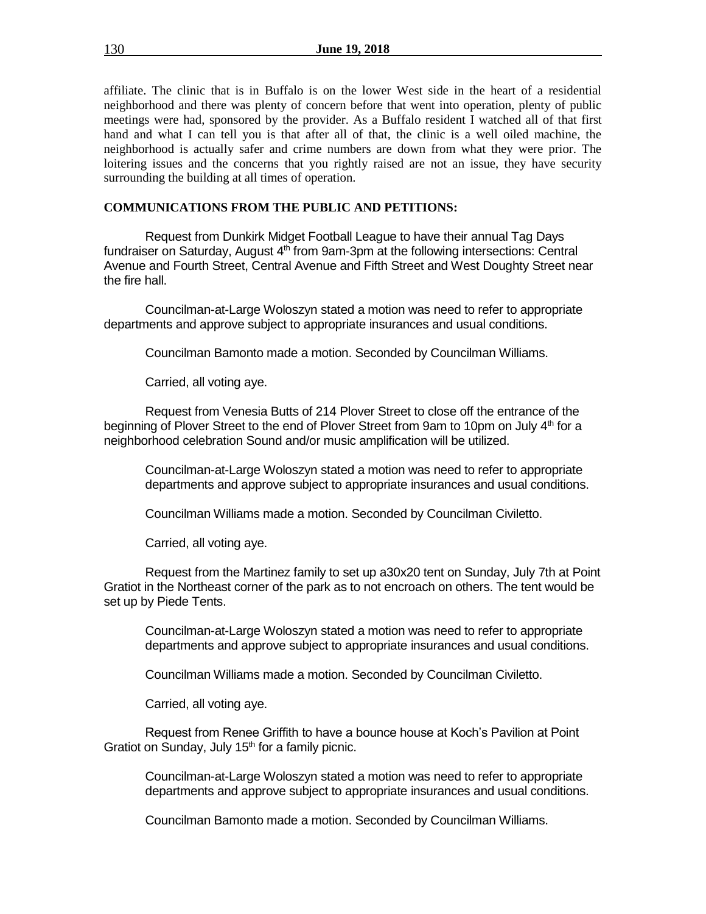affiliate. The clinic that is in Buffalo is on the lower West side in the heart of a residential neighborhood and there was plenty of concern before that went into operation, plenty of public meetings were had, sponsored by the provider. As a Buffalo resident I watched all of that first hand and what I can tell you is that after all of that, the clinic is a well oiled machine, the neighborhood is actually safer and crime numbers are down from what they were prior. The loitering issues and the concerns that you rightly raised are not an issue, they have security surrounding the building at all times of operation.

### **COMMUNICATIONS FROM THE PUBLIC AND PETITIONS:**

Request from Dunkirk Midget Football League to have their annual Tag Days fundraiser on Saturday, August  $4<sup>th</sup>$  from 9am-3pm at the following intersections: Central Avenue and Fourth Street, Central Avenue and Fifth Street and West Doughty Street near the fire hall.

Councilman-at-Large Woloszyn stated a motion was need to refer to appropriate departments and approve subject to appropriate insurances and usual conditions.

Councilman Bamonto made a motion. Seconded by Councilman Williams.

Carried, all voting aye.

Request from Venesia Butts of 214 Plover Street to close off the entrance of the beginning of Plover Street to the end of Plover Street from 9am to 10pm on July 4<sup>th</sup> for a neighborhood celebration Sound and/or music amplification will be utilized.

Councilman-at-Large Woloszyn stated a motion was need to refer to appropriate departments and approve subject to appropriate insurances and usual conditions.

Councilman Williams made a motion. Seconded by Councilman Civiletto.

Carried, all voting aye.

Request from the Martinez family to set up a30x20 tent on Sunday, July 7th at Point Gratiot in the Northeast corner of the park as to not encroach on others. The tent would be set up by Piede Tents.

Councilman-at-Large Woloszyn stated a motion was need to refer to appropriate departments and approve subject to appropriate insurances and usual conditions.

Councilman Williams made a motion. Seconded by Councilman Civiletto.

Carried, all voting aye.

Request from Renee Griffith to have a bounce house at Koch's Pavilion at Point Gratiot on Sunday, July  $15<sup>th</sup>$  for a family picnic.

Councilman-at-Large Woloszyn stated a motion was need to refer to appropriate departments and approve subject to appropriate insurances and usual conditions.

Councilman Bamonto made a motion. Seconded by Councilman Williams.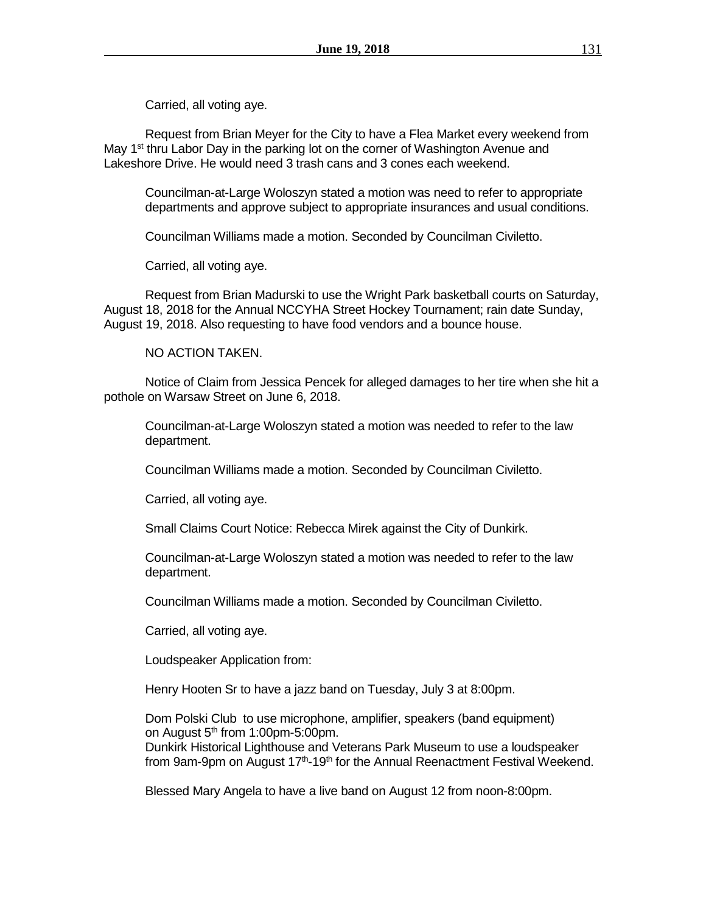Carried, all voting aye.

Request from Brian Meyer for the City to have a Flea Market every weekend from May 1<sup>st</sup> thru Labor Day in the parking lot on the corner of Washington Avenue and Lakeshore Drive. He would need 3 trash cans and 3 cones each weekend.

Councilman-at-Large Woloszyn stated a motion was need to refer to appropriate departments and approve subject to appropriate insurances and usual conditions.

Councilman Williams made a motion. Seconded by Councilman Civiletto.

Carried, all voting aye.

Request from Brian Madurski to use the Wright Park basketball courts on Saturday, August 18, 2018 for the Annual NCCYHA Street Hockey Tournament; rain date Sunday, August 19, 2018. Also requesting to have food vendors and a bounce house.

NO ACTION TAKEN.

Notice of Claim from Jessica Pencek for alleged damages to her tire when she hit a pothole on Warsaw Street on June 6, 2018.

Councilman-at-Large Woloszyn stated a motion was needed to refer to the law department.

Councilman Williams made a motion. Seconded by Councilman Civiletto.

Carried, all voting aye.

Small Claims Court Notice: Rebecca Mirek against the City of Dunkirk.

Councilman-at-Large Woloszyn stated a motion was needed to refer to the law department.

Councilman Williams made a motion. Seconded by Councilman Civiletto.

Carried, all voting aye.

Loudspeaker Application from:

Henry Hooten Sr to have a jazz band on Tuesday, July 3 at 8:00pm.

Dom Polski Club to use microphone, amplifier, speakers (band equipment) on August  $5<sup>th</sup>$  from 1:00pm-5:00pm.

Dunkirk Historical Lighthouse and Veterans Park Museum to use a loudspeaker from 9am-9pm on August 17<sup>th</sup>-19<sup>th</sup> for the Annual Reenactment Festival Weekend.

Blessed Mary Angela to have a live band on August 12 from noon-8:00pm.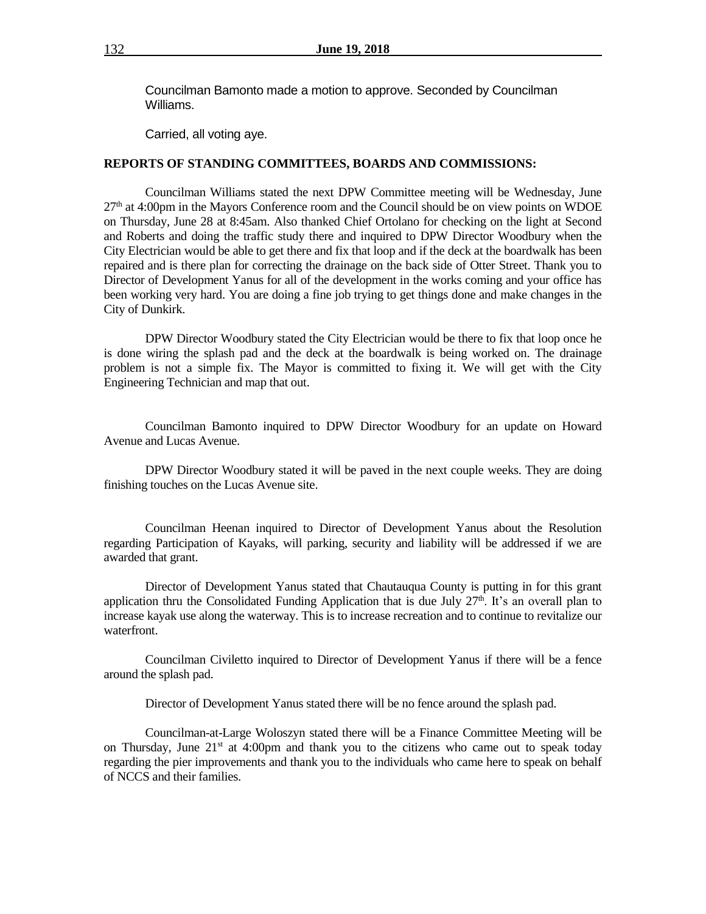Councilman Bamonto made a motion to approve. Seconded by Councilman Williams.

Carried, all voting aye.

#### **REPORTS OF STANDING COMMITTEES, BOARDS AND COMMISSIONS:**

Councilman Williams stated the next DPW Committee meeting will be Wednesday, June  $27<sup>th</sup>$  at 4:00pm in the Mayors Conference room and the Council should be on view points on WDOE on Thursday, June 28 at 8:45am. Also thanked Chief Ortolano for checking on the light at Second and Roberts and doing the traffic study there and inquired to DPW Director Woodbury when the City Electrician would be able to get there and fix that loop and if the deck at the boardwalk has been repaired and is there plan for correcting the drainage on the back side of Otter Street. Thank you to Director of Development Yanus for all of the development in the works coming and your office has been working very hard. You are doing a fine job trying to get things done and make changes in the City of Dunkirk.

DPW Director Woodbury stated the City Electrician would be there to fix that loop once he is done wiring the splash pad and the deck at the boardwalk is being worked on. The drainage problem is not a simple fix. The Mayor is committed to fixing it. We will get with the City Engineering Technician and map that out.

Councilman Bamonto inquired to DPW Director Woodbury for an update on Howard Avenue and Lucas Avenue.

DPW Director Woodbury stated it will be paved in the next couple weeks. They are doing finishing touches on the Lucas Avenue site.

Councilman Heenan inquired to Director of Development Yanus about the Resolution regarding Participation of Kayaks, will parking, security and liability will be addressed if we are awarded that grant.

Director of Development Yanus stated that Chautauqua County is putting in for this grant application thru the Consolidated Funding Application that is due July  $27<sup>th</sup>$ . It's an overall plan to increase kayak use along the waterway. This is to increase recreation and to continue to revitalize our waterfront.

Councilman Civiletto inquired to Director of Development Yanus if there will be a fence around the splash pad.

Director of Development Yanus stated there will be no fence around the splash pad.

Councilman-at-Large Woloszyn stated there will be a Finance Committee Meeting will be on Thursday, June  $21<sup>st</sup>$  at 4:00pm and thank you to the citizens who came out to speak today regarding the pier improvements and thank you to the individuals who came here to speak on behalf of NCCS and their families.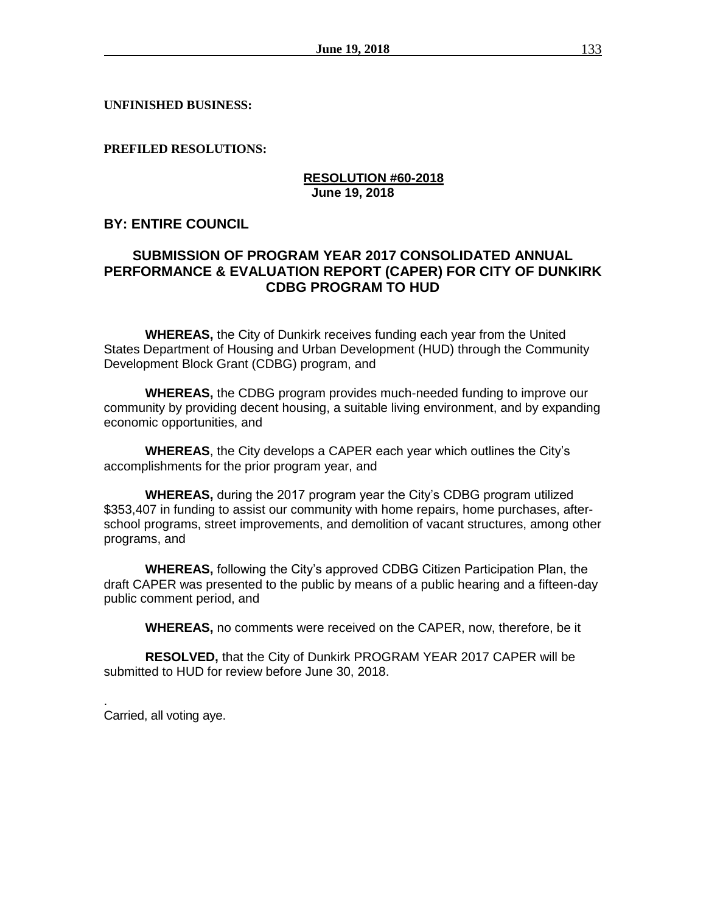**UNFINISHED BUSINESS:**

**PREFILED RESOLUTIONS:**

## **RESOLUTION #60-2018 June 19, 2018**

# **BY: ENTIRE COUNCIL**

# **SUBMISSION OF PROGRAM YEAR 2017 CONSOLIDATED ANNUAL PERFORMANCE & EVALUATION REPORT (CAPER) FOR CITY OF DUNKIRK CDBG PROGRAM TO HUD**

**WHEREAS,** the City of Dunkirk receives funding each year from the United States Department of Housing and Urban Development (HUD) through the Community Development Block Grant (CDBG) program, and

**WHEREAS,** the CDBG program provides much-needed funding to improve our community by providing decent housing, a suitable living environment, and by expanding economic opportunities, and

**WHEREAS**, the City develops a CAPER each year which outlines the City's accomplishments for the prior program year, and

**WHEREAS,** during the 2017 program year the City's CDBG program utilized \$353,407 in funding to assist our community with home repairs, home purchases, afterschool programs, street improvements, and demolition of vacant structures, among other programs, and

**WHEREAS,** following the City's approved CDBG Citizen Participation Plan, the draft CAPER was presented to the public by means of a public hearing and a fifteen-day public comment period, and

**WHEREAS,** no comments were received on the CAPER, now, therefore, be it

**RESOLVED,** that the City of Dunkirk PROGRAM YEAR 2017 CAPER will be submitted to HUD for review before June 30, 2018.

. Carried, all voting aye.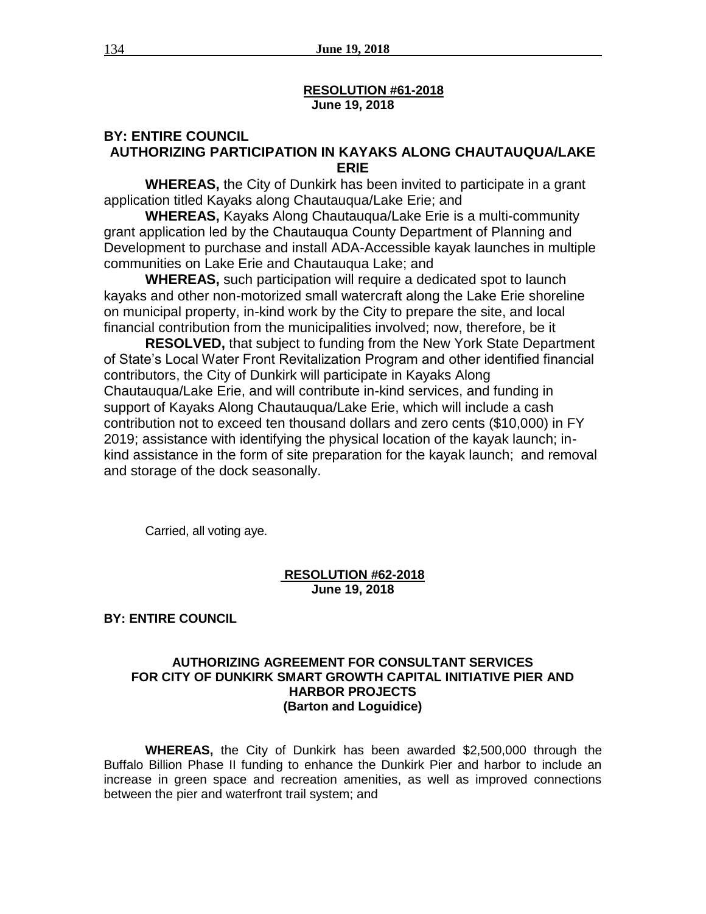### **RESOLUTION #61-2018 June 19, 2018**

## **BY: ENTIRE COUNCIL AUTHORIZING PARTICIPATION IN KAYAKS ALONG CHAUTAUQUA/LAKE ERIE**

**WHEREAS,** the City of Dunkirk has been invited to participate in a grant application titled Kayaks along Chautauqua/Lake Erie; and

**WHEREAS,** Kayaks Along Chautauqua/Lake Erie is a multi-community grant application led by the Chautauqua County Department of Planning and Development to purchase and install ADA-Accessible kayak launches in multiple communities on Lake Erie and Chautauqua Lake; and

**WHEREAS,** such participation will require a dedicated spot to launch kayaks and other non-motorized small watercraft along the Lake Erie shoreline on municipal property, in-kind work by the City to prepare the site, and local financial contribution from the municipalities involved; now, therefore, be it

**RESOLVED,** that subject to funding from the New York State Department of State's Local Water Front Revitalization Program and other identified financial contributors, the City of Dunkirk will participate in Kayaks Along Chautauqua/Lake Erie, and will contribute in-kind services, and funding in support of Kayaks Along Chautauqua/Lake Erie, which will include a cash contribution not to exceed ten thousand dollars and zero cents (\$10,000) in FY 2019; assistance with identifying the physical location of the kayak launch; inkind assistance in the form of site preparation for the kayak launch; and removal and storage of the dock seasonally.

Carried, all voting aye.

### **RESOLUTION #62-2018 June 19, 2018**

**BY: ENTIRE COUNCIL**

### **AUTHORIZING AGREEMENT FOR CONSULTANT SERVICES FOR CITY OF DUNKIRK SMART GROWTH CAPITAL INITIATIVE PIER AND HARBOR PROJECTS (Barton and Loguidice)**

**WHEREAS,** the City of Dunkirk has been awarded \$2,500,000 through the Buffalo Billion Phase II funding to enhance the Dunkirk Pier and harbor to include an increase in green space and recreation amenities, as well as improved connections between the pier and waterfront trail system; and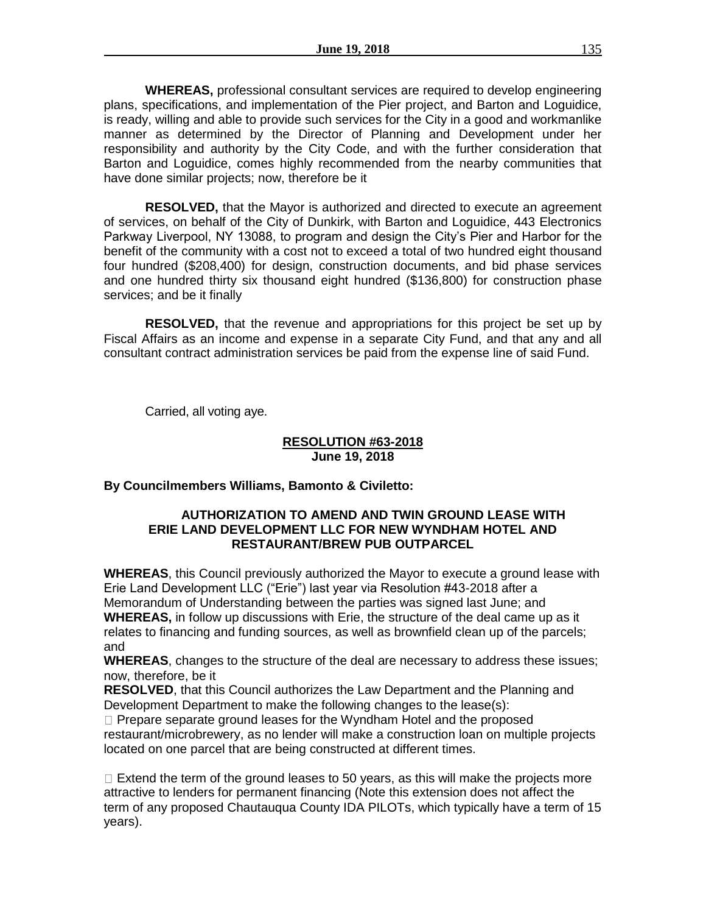**WHEREAS,** professional consultant services are required to develop engineering plans, specifications, and implementation of the Pier project, and Barton and Loguidice, is ready, willing and able to provide such services for the City in a good and workmanlike manner as determined by the Director of Planning and Development under her responsibility and authority by the City Code, and with the further consideration that Barton and Loguidice, comes highly recommended from the nearby communities that have done similar projects; now, therefore be it

**RESOLVED,** that the Mayor is authorized and directed to execute an agreement of services, on behalf of the City of Dunkirk, with Barton and Loguidice, 443 Electronics Parkway Liverpool, NY 13088, to program and design the City's Pier and Harbor for the benefit of the community with a cost not to exceed a total of two hundred eight thousand four hundred (\$208,400) for design, construction documents, and bid phase services and one hundred thirty six thousand eight hundred (\$136,800) for construction phase services; and be it finally

**RESOLVED,** that the revenue and appropriations for this project be set up by Fiscal Affairs as an income and expense in a separate City Fund, and that any and all consultant contract administration services be paid from the expense line of said Fund.

Carried, all voting aye.

## **RESOLUTION #63-2018 June 19, 2018**

## **By Councilmembers Williams, Bamonto & Civiletto:**

## **AUTHORIZATION TO AMEND AND TWIN GROUND LEASE WITH ERIE LAND DEVELOPMENT LLC FOR NEW WYNDHAM HOTEL AND RESTAURANT/BREW PUB OUTPARCEL**

**WHEREAS**, this Council previously authorized the Mayor to execute a ground lease with Erie Land Development LLC ("Erie") last year via Resolution #43-2018 after a Memorandum of Understanding between the parties was signed last June; and **WHEREAS,** in follow up discussions with Erie, the structure of the deal came up as it relates to financing and funding sources, as well as brownfield clean up of the parcels; and

**WHEREAS**, changes to the structure of the deal are necessary to address these issues; now, therefore, be it

**RESOLVED**, that this Council authorizes the Law Department and the Planning and Development Department to make the following changes to the lease(s):

 $\Box$  Prepare separate ground leases for the Wyndham Hotel and the proposed restaurant/microbrewery, as no lender will make a construction loan on multiple projects located on one parcel that are being constructed at different times.

 $\Box$  Extend the term of the ground leases to 50 years, as this will make the projects more attractive to lenders for permanent financing (Note this extension does not affect the term of any proposed Chautauqua County IDA PILOTs, which typically have a term of 15 years).